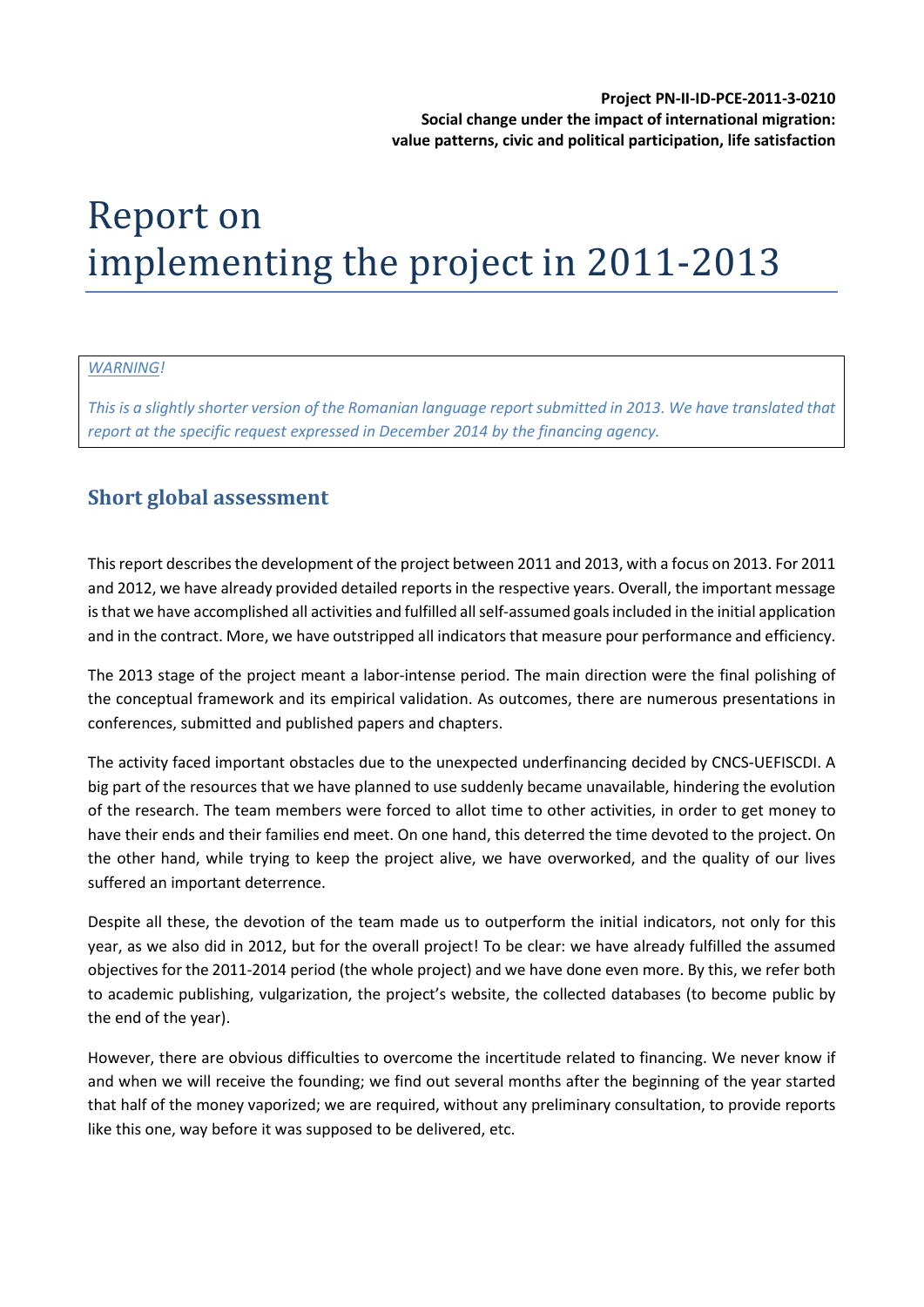# Report on implementing the project in 2011-2013

## *WARNING!*

*This is a slightly shorter version of the Romanian language report submitted in 2013. We have translated that report at the specific request expressed in December 2014 by the financing agency.*

# **Short global assessment**

This report describes the development of the project between 2011 and 2013, with a focus on 2013. For 2011 and 2012, we have already provided detailed reports in the respective years. Overall, the important message is that we have accomplished all activities and fulfilled all self-assumed goals included in the initial application and in the contract. More, we have outstripped all indicators that measure pour performance and efficiency.

The 2013 stage of the project meant a labor-intense period. The main direction were the final polishing of the conceptual framework and its empirical validation. As outcomes, there are numerous presentations in conferences, submitted and published papers and chapters.

The activity faced important obstacles due to the unexpected underfinancing decided by CNCS-UEFISCDI. A big part of the resources that we have planned to use suddenly became unavailable, hindering the evolution of the research. The team members were forced to allot time to other activities, in order to get money to have their ends and their families end meet. On one hand, this deterred the time devoted to the project. On the other hand, while trying to keep the project alive, we have overworked, and the quality of our lives suffered an important deterrence.

Despite all these, the devotion of the team made us to outperform the initial indicators, not only for this year, as we also did in 2012, but for the overall project! To be clear: we have already fulfilled the assumed objectives for the 2011-2014 period (the whole project) and we have done even more. By this, we refer both to academic publishing, vulgarization, the project's website, the collected databases (to become public by the end of the year).

However, there are obvious difficulties to overcome the incertitude related to financing. We never know if and when we will receive the founding; we find out several months after the beginning of the year started that half of the money vaporized; we are required, without any preliminary consultation, to provide reports like this one, way before it was supposed to be delivered, etc.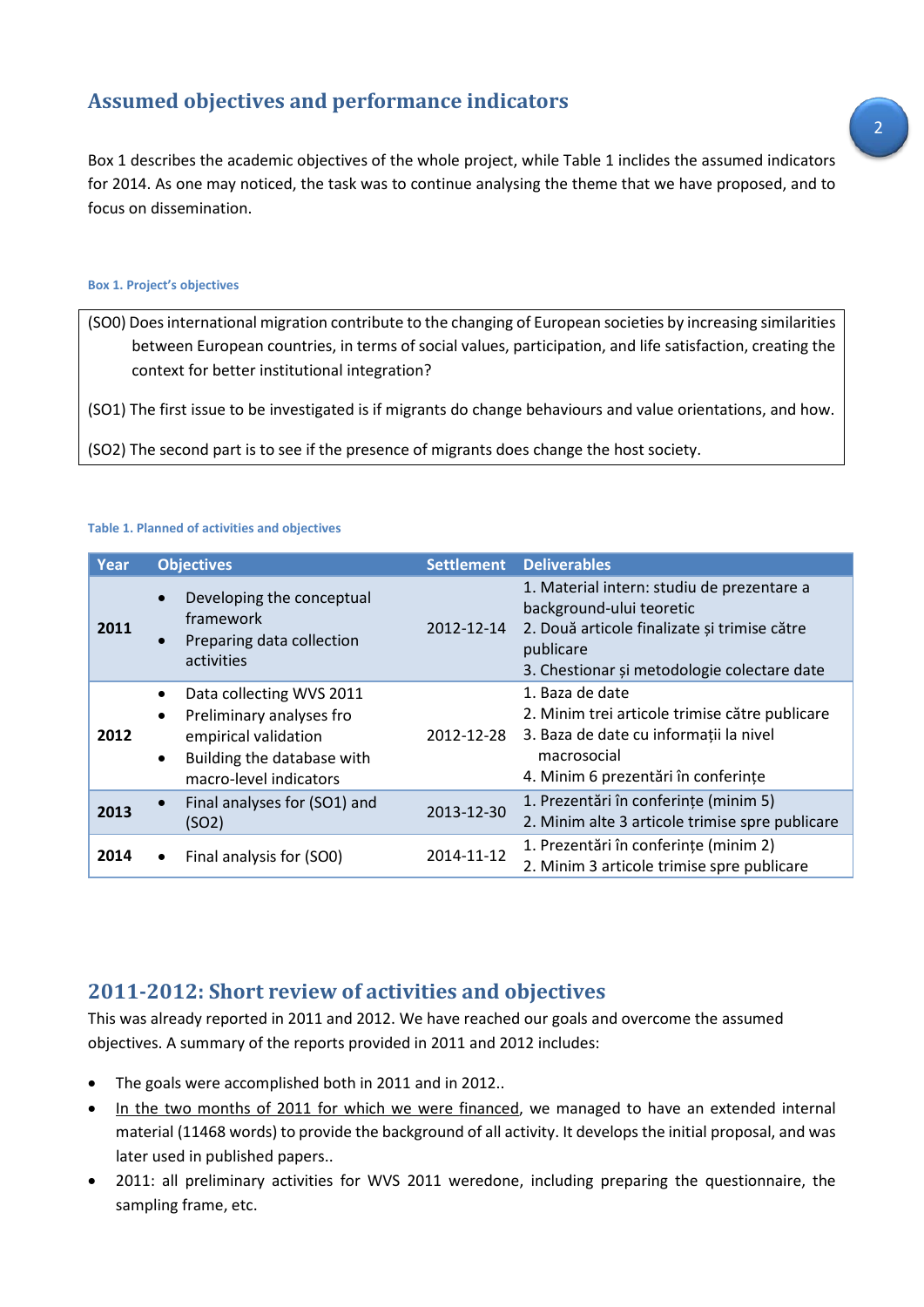# **Assumed objectives and performance indicators**

[Box 1](#page-1-0) describes the academic objectives of the whole project, while Table 1 inclides the assumed indicators for 2014. As one may noticed, the task was to continue analysing the theme that we have proposed, and to focus on dissemination.

#### <span id="page-1-0"></span>**Box 1. Project's objectives**

(SO0) Does international migration contribute to the changing of European societies by increasing similarities between European countries, in terms of social values, participation, and life satisfaction, creating the context for better institutional integration?

(SO1) The first issue to be investigated is if migrants do change behaviours and value orientations, and how.

(SO2) The second part is to see if the presence of migrants does change the host society.

#### **Table 1. Planned of activities and objectives**

| Year | <b>Objectives</b>                                                                                                                                                           | <b>Settlement</b> | <b>Deliverables</b>                                                                                                                                                                |
|------|-----------------------------------------------------------------------------------------------------------------------------------------------------------------------------|-------------------|------------------------------------------------------------------------------------------------------------------------------------------------------------------------------------|
| 2011 | Developing the conceptual<br>framework<br>Preparing data collection<br>$\bullet$<br>activities                                                                              | 2012-12-14        | 1. Material intern: studiu de prezentare a<br>background-ului teoretic<br>2. Două articole finalizate și trimise către<br>publicare<br>3. Chestionar și metodologie colectare date |
| 2012 | Data collecting WVS 2011<br>$\bullet$<br>Preliminary analyses fro<br>$\bullet$<br>empirical validation<br>Building the database with<br>$\bullet$<br>macro-level indicators | 2012-12-28        | 1. Baza de date<br>2. Minim trei articole trimise către publicare<br>3. Baza de date cu informații la nivel<br>macrosocial<br>4. Minim 6 prezentări în conferințe                  |
| 2013 | Final analyses for (SO1) and<br>(SO2)                                                                                                                                       | 2013-12-30        | 1. Prezentări în conferințe (minim 5)<br>2. Minim alte 3 articole trimise spre publicare                                                                                           |
| 2014 | Final analysis for (SO0)                                                                                                                                                    | 2014-11-12        | 1. Prezentări în conferințe (minim 2)<br>2. Minim 3 articole trimise spre publicare                                                                                                |

# **2011-2012: Short review of activities and objectives**

This was already reported in 2011 and 2012. We have reached our goals and overcome the assumed objectives. A summary of the reports provided in 2011 and 2012 includes:

- The goals were accomplished both in 2011 and in 2012..
- In the two months of 2011 for which we were financed, we managed to have an extended internal material (11468 words) to provide the background of all activity. It develops the initial proposal, and was later used in published papers..
- 2011: all preliminary activities for WVS 2011 weredone, including preparing the questionnaire, the sampling frame, etc.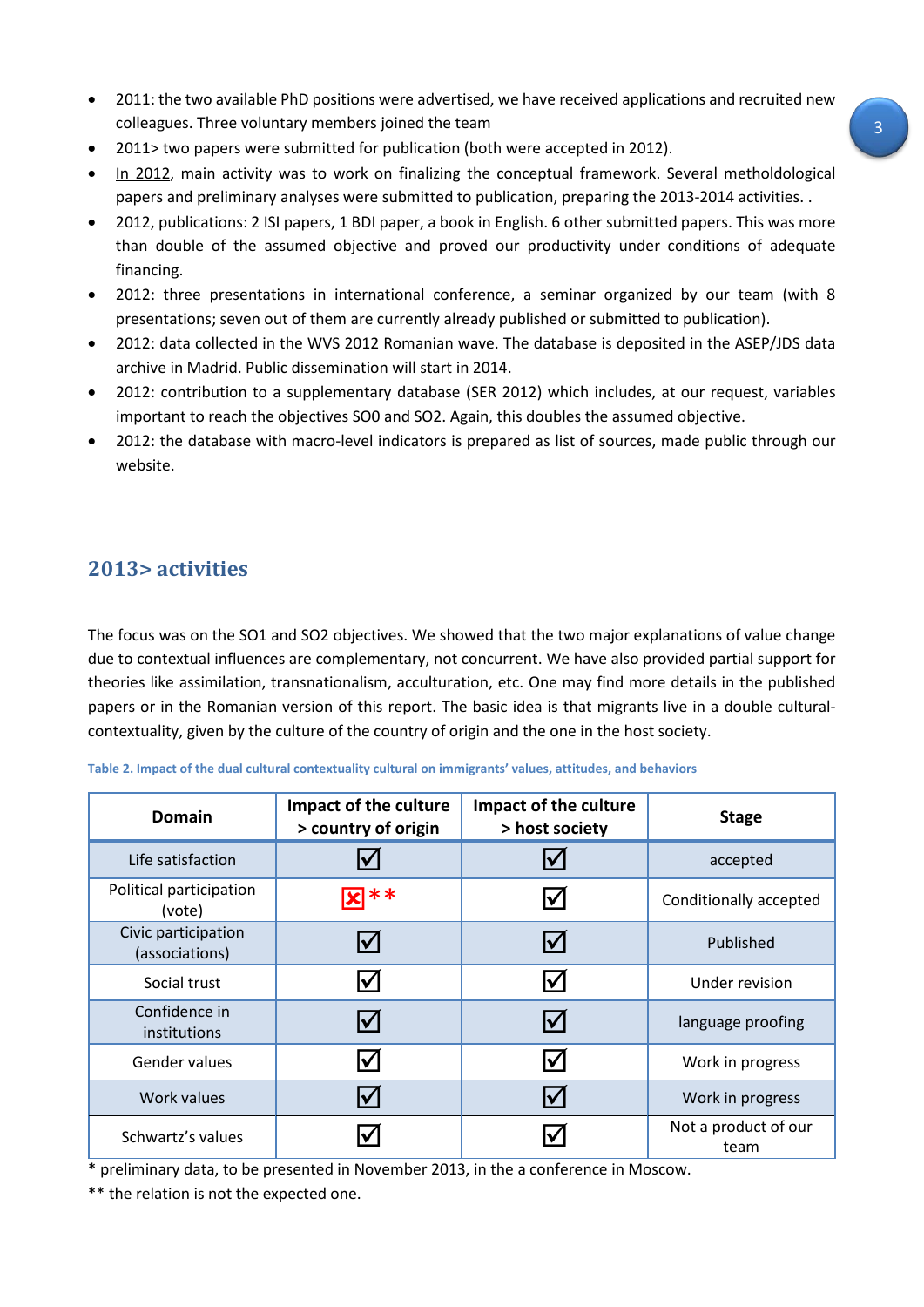- 2011: the two available PhD positions were advertised, we have received applications and recruited new colleagues. Three voluntary members joined the team
- 2011> two papers were submitted for publication (both were accepted in 2012).
- In 2012, main activity was to work on finalizing the conceptual framework. Several metholdological papers and preliminary analyses were submitted to publication, preparing the 2013-2014 activities. .
- 2012, publications: 2 ISI papers, 1 BDI paper, a book in English. 6 other submitted papers. This was more than double of the assumed objective and proved our productivity under conditions of adequate financing.
- 2012: three presentations in international conference, a seminar organized by our team (with 8 presentations; seven out of them are currently already published or submitted to publication).
- 2012: data collected in the WVS 2012 Romanian wave. The database is deposited in the ASEP/JDS data archive in Madrid. Public dissemination will start in 2014.
- 2012: contribution to a supplementary database (SER 2012) which includes, at our request, variables important to reach the objectives SO0 and SO2. Again, this doubles the assumed objective.
- 2012: the database with macro-level indicators is prepared as list of sources, made public through our website.

# **2013> activities**

The focus was on the SO1 and SO2 objectives. We showed that the two major explanations of value change due to contextual influences are complementary, not concurrent. We have also provided partial support for theories like assimilation, transnationalism, acculturation, etc. One may find more details in the published papers or in the Romanian version of this report. The basic idea is that migrants live in a double culturalcontextuality, given by the culture of the country of origin and the one in the host society.

| <b>Domain</b>                         | Impact of the culture<br>> country of origin | Impact of the culture<br>> host society | <b>Stage</b>                 |  |
|---------------------------------------|----------------------------------------------|-----------------------------------------|------------------------------|--|
| Life satisfaction                     |                                              |                                         | accepted                     |  |
| Political participation<br>(vote)     | **                                           |                                         | Conditionally accepted       |  |
| Civic participation<br>(associations) | IV                                           |                                         | Published                    |  |
| Social trust                          | ✔                                            |                                         | Under revision               |  |
| Confidence in<br>institutions         | V                                            | V                                       | language proofing            |  |
| Gender values                         |                                              |                                         | Work in progress             |  |
| Work values                           | I√                                           |                                         | Work in progress             |  |
| Schwartz's values                     |                                              |                                         | Not a product of our<br>team |  |

**Table 2. Impact of the dual cultural contextuality cultural on immigrants' values, attitudes, and behaviors**

\* preliminary data, to be presented in November 2013, in the a conference in Moscow.

\*\* the relation is not the expected one.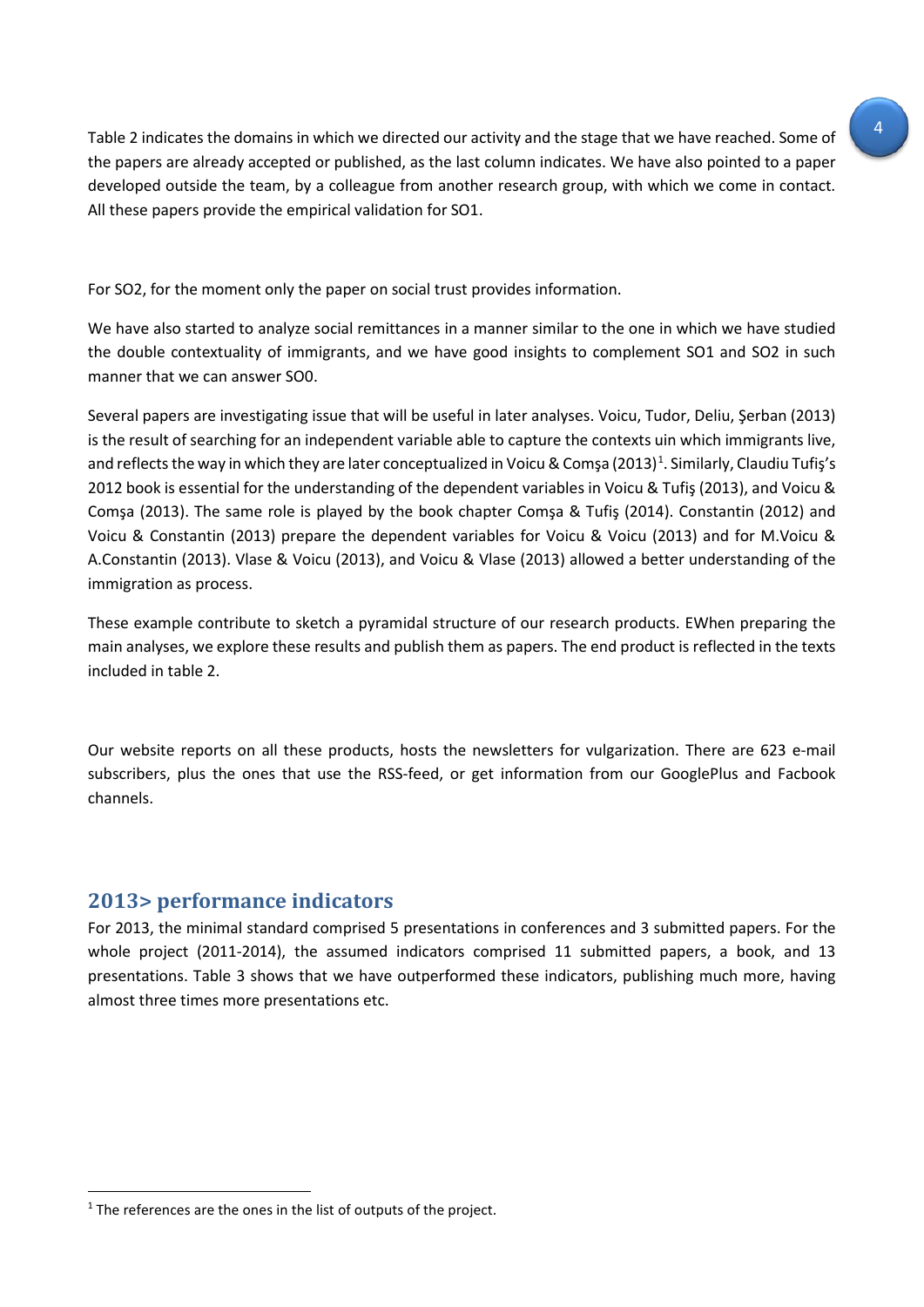Table 2 indicates the domains in which we directed our activity and the stage that we have reached. Some of  $\sqrt{4}$ the papers are already accepted or published, as the last column indicates. We have also pointed to a paper developed outside the team, by a colleague from another research group, with which we come in contact. All these papers provide the empirical validation for SO1.

For SO2, for the moment only the paper on social trust provides information.

We have also started to analyze social remittances in a manner similar to the one in which we have studied the double contextuality of immigrants, and we have good insights to complement SO1 and SO2 in such manner that we can answer SO0.

Several papers are investigating issue that will be useful in later analyses. Voicu, Tudor, Deliu, Şerban (2013) is the result of searching for an independent variable able to capture the contexts uin which immigrants live, and reflects the way in which they are later conceptualized in Voicu & Comşa (20[1](#page-3-0)3)<sup>1</sup>. Similarly, Claudiu Tufiş's 2012 book is essential for the understanding of the dependent variables in Voicu & Tufiş (2013), and Voicu & Comşa (2013). The same role is played by the book chapter Comşa & Tufiş (2014). Constantin (2012) and Voicu & Constantin (2013) prepare the dependent variables for Voicu & Voicu (2013) and for M.Voicu & A.Constantin (2013). Vlase & Voicu (2013), and Voicu & Vlase (2013) allowed a better understanding of the immigration as process.

These example contribute to sketch a pyramidal structure of our research products. EWhen preparing the main analyses, we explore these results and publish them as papers. The end product is reflected in the texts included in table 2.

Our website reports on all these products, hosts the newsletters for vulgarization. There are 623 e-mail subscribers, plus the ones that use the RSS-feed, or get information from our GooglePlus and Facbook channels.

# **2013> performance indicators**

For 2013, the minimal standard comprised 5 presentations in conferences and 3 submitted papers. For the whole project (2011-2014), the assumed indicators comprised 11 submitted papers, a book, and 13 presentations. Table 3 shows that we have outperformed these indicators, publishing much more, having almost three times more presentations etc.

<span id="page-3-0"></span> $1$ <sup>1</sup> The references are the ones in the list of outputs of the project. <u>.</u>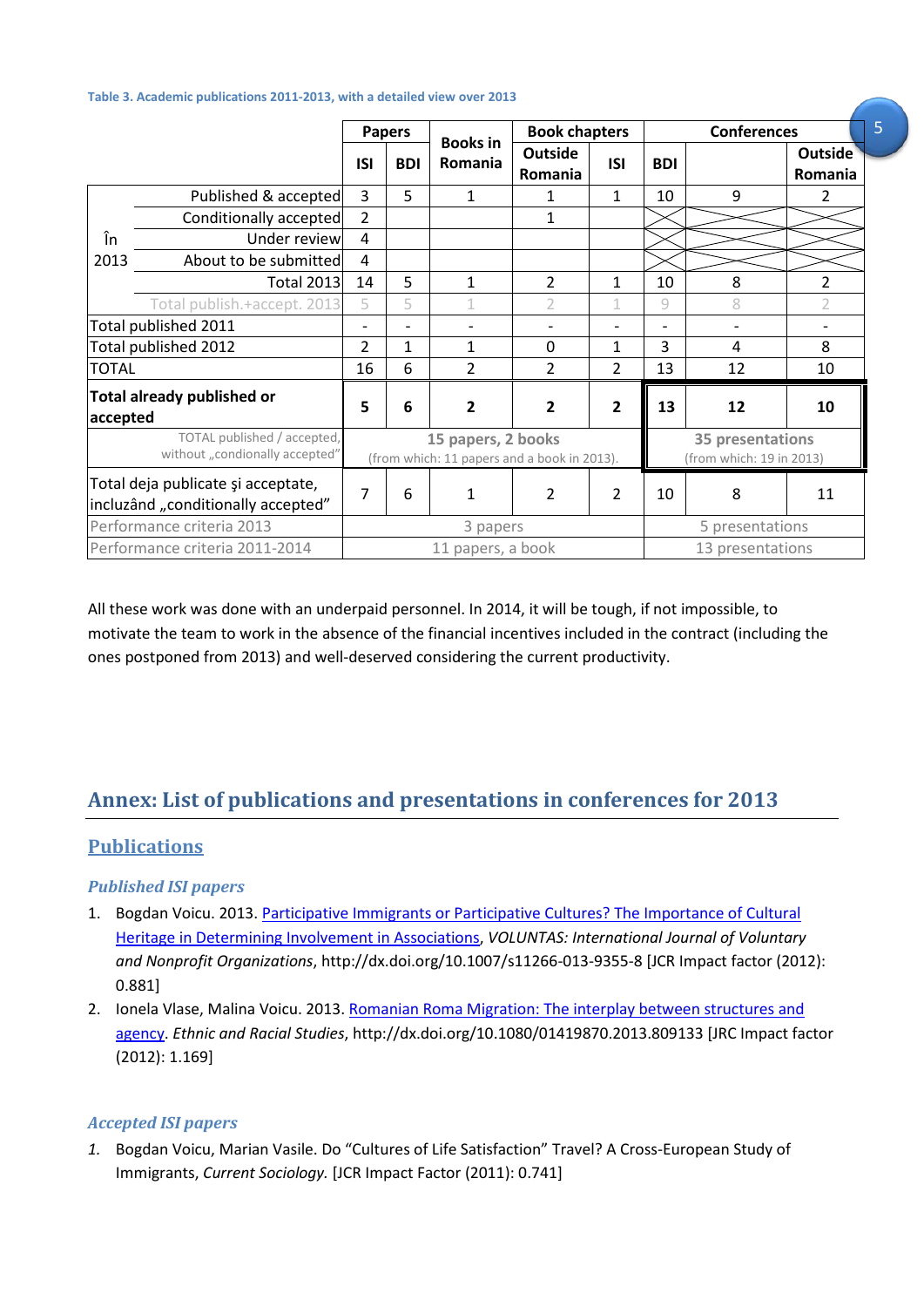#### **Table 3. Academic publications 2011-2013, with a detailed view over 2013**

|                                                                          |                                                               | <b>Papers</b>                                                     |            | <b>Books in</b> | <b>Book chapters</b>             |                                              | <b>Conferences</b> |    |                           |
|--------------------------------------------------------------------------|---------------------------------------------------------------|-------------------------------------------------------------------|------------|-----------------|----------------------------------|----------------------------------------------|--------------------|----|---------------------------|
|                                                                          |                                                               | ISI                                                               | <b>BDI</b> | <b>Romania</b>  | <b>Outside</b><br><b>Romania</b> | <b>ISI</b>                                   | <b>BDI</b>         |    | <b>Outside</b><br>Romania |
| În<br>2013                                                               | Published & accepted                                          | 3                                                                 | 5          | 1               | 1                                | 1                                            | 10                 | 9  | 2                         |
|                                                                          | Conditionally accepted                                        | 2                                                                 |            |                 | $\mathbf{1}$                     |                                              |                    |    |                           |
|                                                                          | Under review                                                  | 4                                                                 |            |                 |                                  |                                              |                    |    |                           |
|                                                                          | About to be submitted                                         | 4                                                                 |            |                 |                                  |                                              |                    |    |                           |
|                                                                          | <b>Total 2013</b>                                             | 14                                                                | 5          | 1               | $\overline{2}$                   | 1                                            | 10                 | 8  | 2                         |
|                                                                          | Total publish.+accept. 2013                                   | 5                                                                 | 5          |                 |                                  |                                              | Q                  | 8  | $\overline{2}$            |
| Total published 2011                                                     |                                                               |                                                                   |            |                 |                                  |                                              |                    |    |                           |
| Total published 2012                                                     |                                                               | 2                                                                 | 1          | 1               | 0                                | 1                                            | 3                  | 4  | 8                         |
| <b>TOTAL</b>                                                             |                                                               | 16                                                                | 6          | $\overline{2}$  | $\overline{2}$                   | 2                                            | 13                 | 12 | 10                        |
| <b>Total already published or</b><br>accepted                            |                                                               | 5                                                                 | 6          | $\overline{2}$  | $\overline{2}$                   | $\overline{2}$                               | 13                 | 12 | 10                        |
|                                                                          | TOTAL published / accepted,<br>without "condionally accepted" | 15 papers, 2 books<br>(from which: 11 papers and a book in 2013). |            |                 |                                  | 35 presentations<br>(from which: 19 in 2013) |                    |    |                           |
| Total deja publicate și acceptate,<br>incluzând "conditionally accepted" |                                                               | $\overline{7}$                                                    | 6          | 1               | 2                                | 2                                            | 10                 | 8  | 11                        |
| Performance criteria 2013                                                |                                                               | 3 papers                                                          |            |                 |                                  | 5 presentations                              |                    |    |                           |
| Performance criteria 2011-2014                                           |                                                               | 11 papers, a book                                                 |            |                 |                                  | 13 presentations                             |                    |    |                           |

All these work was done with an underpaid personnel. In 2014, it will be tough, if not impossible, to motivate the team to work in the absence of the financial incentives included in the contract (including the ones postponed from 2013) and well-deserved considering the current productivity.

# **Annex: List of publications and presentations in conferences for 2013**

# **Publications**

## *Published ISI papers*

- 1. Bogdan Voicu. 2013. [Participative Immigrants or Participative Cultures? The Importance of Cultural](http://link.springer.com/article/10.1007/s11266-013-9355-8)  [Heritage in Determining Involvement in Associations,](http://link.springer.com/article/10.1007/s11266-013-9355-8) *VOLUNTAS: International Journal of Voluntary and Nonprofit Organizations*, http://dx.doi.org/10.1007/s11266-013-9355-8 [JCR Impact factor (2012): 0.881]
- 2. Ionela Vlase, Malina Voicu. 2013. Romanian Roma Migration: The interplay between structures and [agency.](http://www.tandfonline.com/doi/abs/10.1080/01419870.2013.809133) *Ethnic and Racial Studies*, http://dx.doi.org/10.1080/01419870.2013.809133 [JRC Impact factor (2012): 1.169]

## *Accepted ISI papers*

*1.* Bogdan Voicu, Marian Vasile. Do "Cultures of Life Satisfaction" Travel? A Cross-European Study of Immigrants, *Current Sociology.* [JCR Impact Factor (2011): 0.741]

5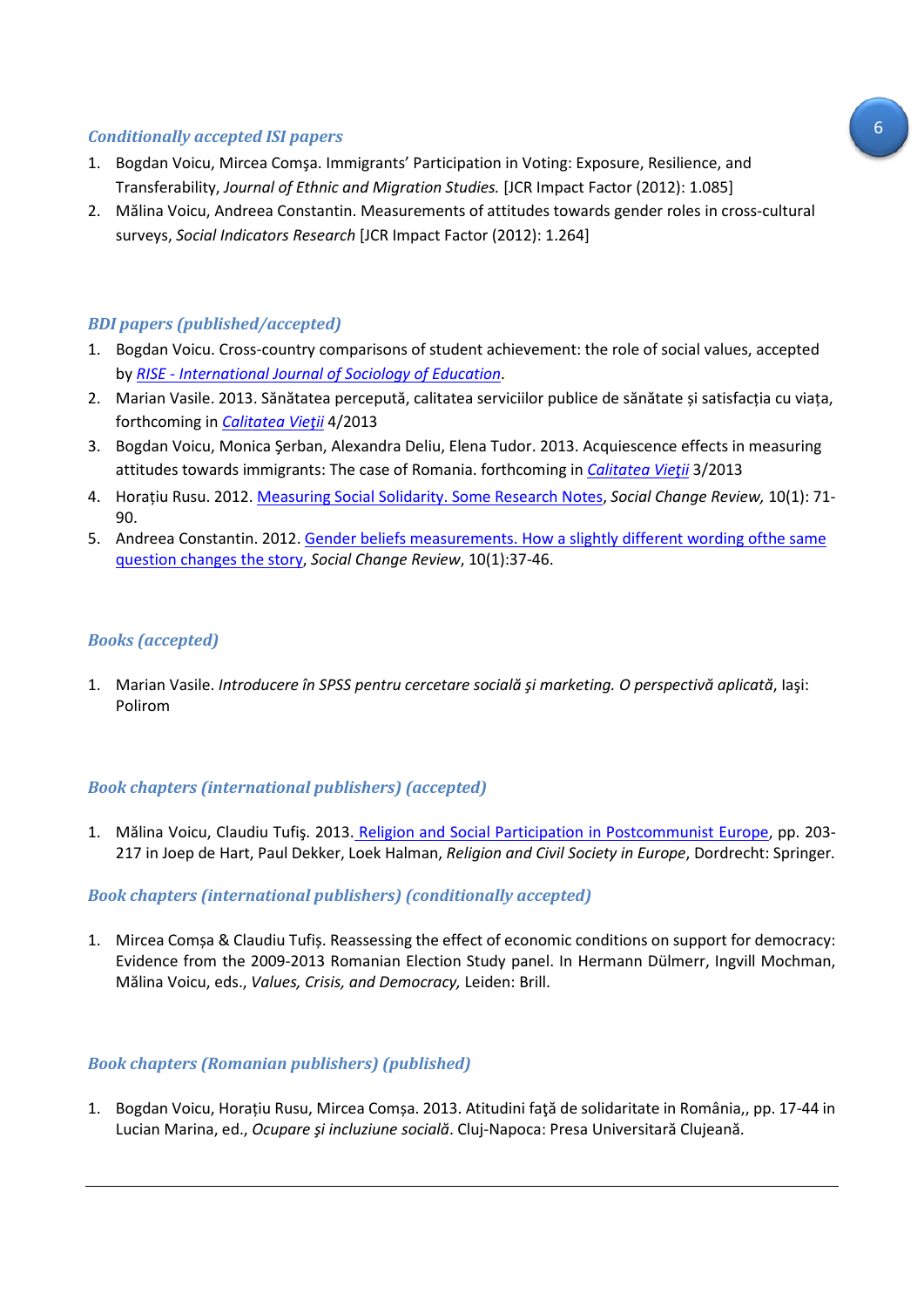## <sup>6</sup> *Conditionally accepted ISI papers*

- 1. Bogdan Voicu, Mircea Comşa. Immigrants' Participation in Voting: Exposure, Resilience, and Transferability, *Journal of Ethnic and Migration Studies.* [JCR Impact Factor (2012): 1.085]
- 2. Mălina Voicu, Andreea Constantin. Measurements of attitudes towards gender roles in cross-cultural surveys, *Social Indicators Research* [JCR Impact Factor (2012): 1.264]

## *BDI papers (published/accepted)*

- 1. Bogdan Voicu. Cross-country comparisons of student achievement: the role of social values, accepted by *RISE - [International Journal of Sociology of Education](http://www.hipatiapress.com/hpjournals/index.php/rise)*.
- 2. Marian Vasile. 2013. Sănătatea percepută, calitatea serviciilor publice de sănătate și satisfacția cu viața, forthcoming in *[Calitatea Vieţ](http://www.revistacalitateavietii.ro/)ii* 4/2013
- 3. Bogdan Voicu, Monica Şerban, Alexandra Deliu, Elena Tudor. 2013. Acquiescence effects in measuring attitudes towards immigrants: The case of Romania. forthcoming in *[Calitatea Vieţii](http://www.revistacalitateavietii.ro/)* 3/2013
- 4. Horațiu Rusu. 2012. [Measuring Social Solidarity. Some Research Notes,](http://www.google.com/url?q=http%3A%2F%2Fconnection.ebscohost.com%2Fc%2Farticles%2F86063002%2F&sa=D&sntz=1&usg=AFrqEzekMVs3Omfh76n4N8h1akZXSIvjlw) *Social Change Review,* 10(1): 71- 90.
- 5. Andreea Constantin. 2012[. Gender beliefs measurements. How a slightly different wording ofthe same](http://www.ceeol.com/aspx/issuedetails.aspx?issueid=70057212-47c9-428d-9e6d-fe9f7c047f80&articleId=eaa9a049-403b-4152-a575-ab234ac1f036)  [question changes the story,](http://www.ceeol.com/aspx/issuedetails.aspx?issueid=70057212-47c9-428d-9e6d-fe9f7c047f80&articleId=eaa9a049-403b-4152-a575-ab234ac1f036) *Social Change Review*, 10(1):37-46.

## *Books (accepted)*

1. Marian Vasile. *Introducere în SPSS pentru cercetare socială şi marketing. O perspectivă aplicată*, Iaşi: Polirom

## *Book chapters (international publishers) (accepted)*

1. Mălina Voicu, Claudiu Tufiș. 2013. [Religion and Social Participation in Postcommunist Europe,](http://link.springer.com/chapter/10.1007%2F978-94-007-6815-4_11) pp. 203-217 in Joep de Hart, Paul Dekker, Loek Halman, *Religion and Civil Society in Europe*, Dordrecht: Springer*.*

## *Book chapters (international publishers) (conditionally accepted)*

1. Mircea Comșa & Claudiu Tufiș. Reassessing the effect of economic conditions on support for democracy: Evidence from the 2009-2013 Romanian Election Study panel. In Hermann Dülmerr, Ingvill Mochman, Mălina Voicu, eds., *Values, Crisis, and Democracy,* Leiden: Brill.

## *Book chapters (Romanian publishers) (published)*

1. Bogdan Voicu, Horațiu Rusu, Mircea Comșa. 2013. Atitudini faţă de solidaritate in România,, pp. 17-44 in Lucian Marina, ed., *Ocupare şi incluziune socială*. Cluj-Napoca: Presa Universitară Clujeană.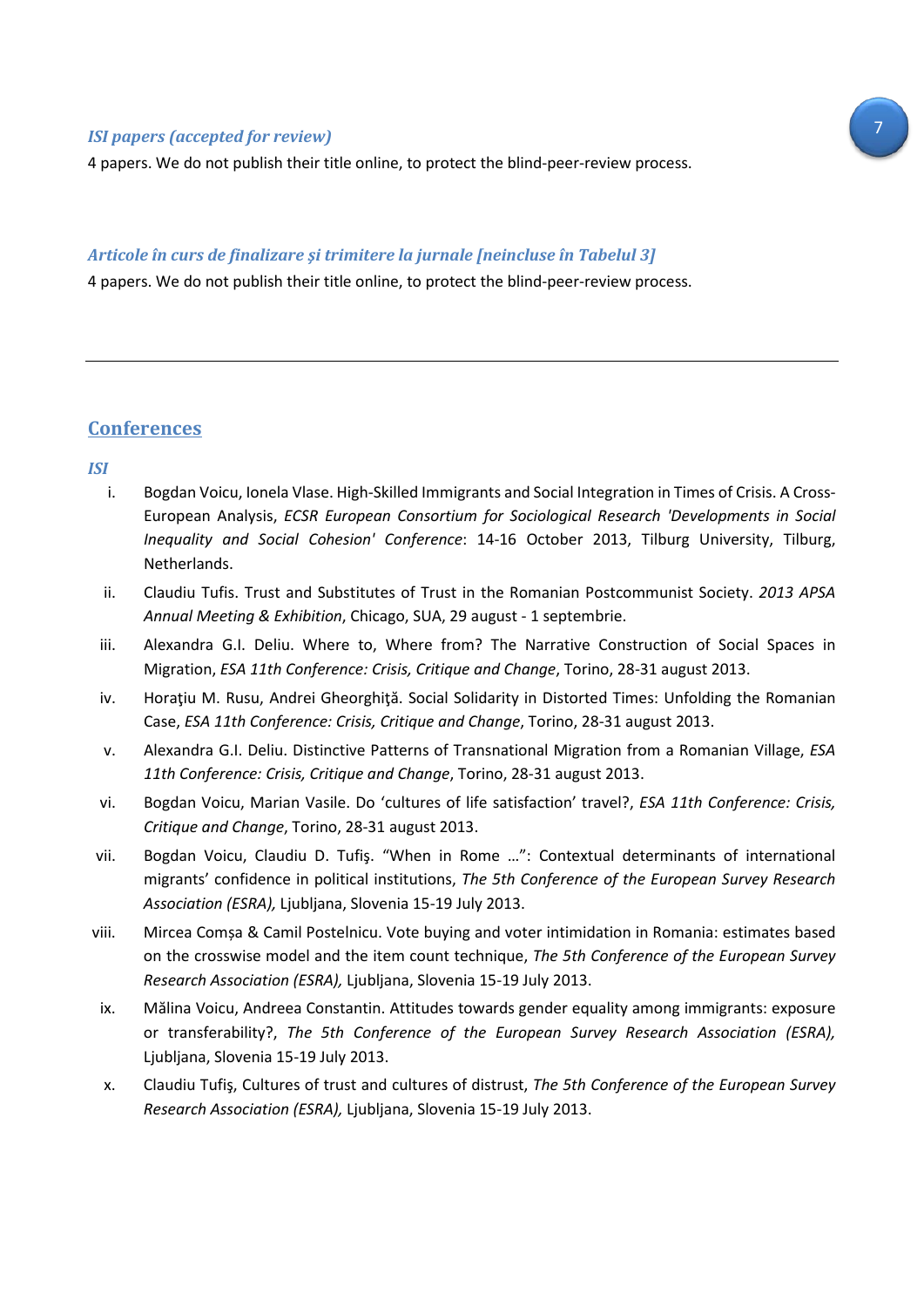#### <sup>7</sup> *ISI papers (accepted for review)*

4 papers. We do not publish their title online, to protect the blind-peer-review process.

#### *Articole în curs de finalizare şi trimitere la jurnale [neincluse în Tabelul 3]*

4 papers. We do not publish their title online, to protect the blind-peer-review process.

# **Conferences**

*ISI*

- i. Bogdan Voicu, Ionela Vlase. High-Skilled Immigrants and Social Integration in Times of Crisis. A Cross-European Analysis, *ECSR European Consortium for Sociological Research 'Developments in Social Inequality and Social Cohesion' Conference*: 14-16 October 2013, Tilburg University, Tilburg, Netherlands.
- ii. Claudiu Tufis. Trust and Substitutes of Trust in the Romanian Postcommunist Society. *2013 APSA Annual Meeting & Exhibition*, Chicago, SUA, 29 august - 1 septembrie.
- iii. Alexandra G.I. Deliu. Where to, Where from? The Narrative Construction of Social Spaces in Migration, *ESA 11th Conference: Crisis, Critique and Change*, Torino, 28-31 august 2013.
- iv. Horațiu M. Rusu, Andrei Gheorghiță. Social Solidarity in Distorted Times: Unfolding the Romanian Case, *ESA 11th Conference: Crisis, Critique and Change*, Torino, 28-31 august 2013.
- v. Alexandra G.I. Deliu. Distinctive Patterns of Transnational Migration from a Romanian Village, *ESA 11th Conference: Crisis, Critique and Change*, Torino, 28-31 august 2013.
- vi. Bogdan Voicu, Marian Vasile. Do 'cultures of life satisfaction' travel?, *ESA 11th Conference: Crisis, Critique and Change*, Torino, 28-31 august 2013.
- vii. Bogdan Voicu, Claudiu D. Tufiş. "When in Rome …": Contextual determinants of international migrants' confidence in political institutions, *The 5th Conference of the European Survey Research Association (ESRA),* Ljubljana, Slovenia 15-19 July 2013.
- viii. Mircea Comșa & Camil Postelnicu. Vote buying and voter intimidation in Romania: estimates based on the crosswise model and the item count technique, *The 5th Conference of the European Survey Research Association (ESRA),* Ljubljana, Slovenia 15-19 July 2013.
- ix. Mălina Voicu, Andreea Constantin. Attitudes towards gender equality among immigrants: exposure or transferability?, *The 5th Conference of the European Survey Research Association (ESRA),*  Ljubljana, Slovenia 15-19 July 2013.
- x. Claudiu Tufiş, Cultures of trust and cultures of distrust, *The 5th Conference of the European Survey Research Association (ESRA),* Ljubljana, Slovenia 15-19 July 2013.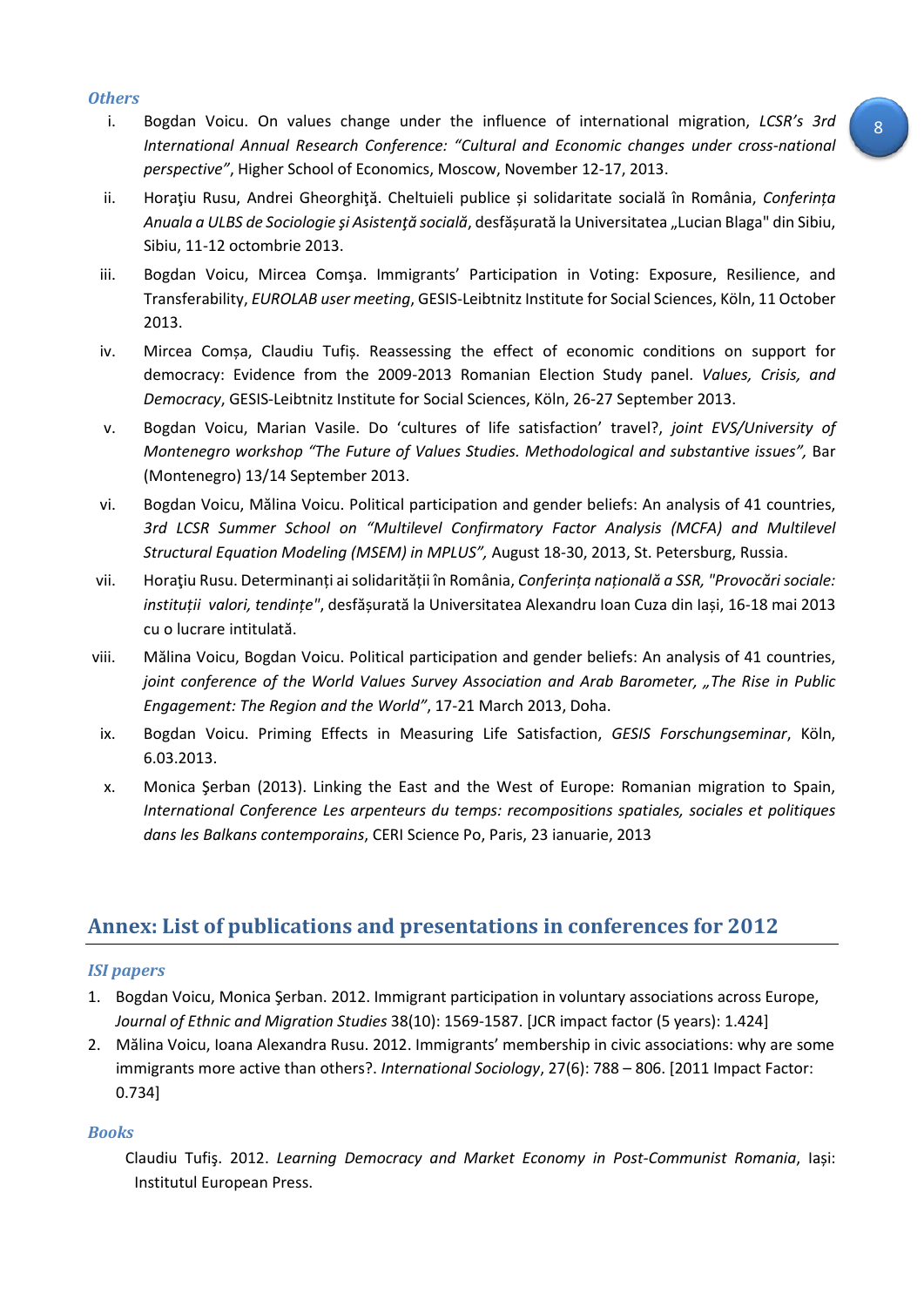#### *Others*

- i. Bogdan Voicu. On values change under the influence of international migration, *LCSR's 3rd International Annual Research Conference: "Cultural and Economic changes under cross-national perspective"*, Higher School of Economics, Moscow, November 12-17, 2013.
- ii. Horatiu Rusu, Andrei Gheorghită. Cheltuieli publice și solidaritate socială în România, *Conferinta* Anuala a ULBS de Sociologie și Asistență socială, desfășurată la Universitatea "Lucian Blaga" din Sibiu, Sibiu, 11-12 octombrie 2013.
- iii. Bogdan Voicu, Mircea Comşa. Immigrants' Participation in Voting: Exposure, Resilience, and Transferability, *EUROLAB user meeting*, GESIS-Leibtnitz Institute for Social Sciences, Köln, 11 October 2013.
- iv. Mircea Comșa, Claudiu Tufiș. Reassessing the effect of economic conditions on support for democracy: Evidence from the 2009-2013 Romanian Election Study panel. *Values, Crisis, and Democracy*, GESIS-Leibtnitz Institute for Social Sciences, Köln, 26-27 September 2013.
- v. Bogdan Voicu, Marian Vasile. Do 'cultures of life satisfaction' travel?, *joint EVS/University of Montenegro workshop "The Future of Values Studies. Methodological and substantive issues"*, Bar (Montenegro) 13/14 September 2013.
- vi. Bogdan Voicu, Mălina Voicu. Political participation and gender beliefs: An analysis of 41 countries, *3rd LCSR Summer School on "Multilevel Confirmatory Factor Analysis (MCFA) and Multilevel Structural Equation Modeling (MSEM) in MPLUS",* August 18-30, 2013, St. Petersburg, Russia.
- vii. Horaţiu Rusu. Determinanți ai solidarității în România, *Conferința națională a SSR, "Provocări sociale: instituții valori, tendințe"*, desfășurată la Universitatea Alexandru Ioan Cuza din Iași, 16-18 mai 2013 cu o lucrare intitulată.
- viii. Mălina Voicu, Bogdan Voicu. Political participation and gender beliefs: An analysis of 41 countries, *joint conference of the World Values Survey Association and Arab Barometer, "The Rise in Public Engagement: The Region and the World"*, 17-21 March 2013, Doha.
- ix. Bogdan Voicu. Priming Effects in Measuring Life Satisfaction, *GESIS Forschungseminar*, Köln, 6.03.2013.
- x. Monica Şerban (2013). Linking the East and the West of Europe: Romanian migration to Spain, *International Conference Les arpenteurs du temps: recompositions spatiales, sociales et politiques dans les Balkans contemporains*, CERI Science Po, Paris, 23 ianuarie, 2013

# **Annex: List of publications and presentations in conferences for 2012**

## *ISI papers*

- 1. Bogdan Voicu, Monica Şerban. 2012. Immigrant participation in voluntary associations across Europe, *Journal of Ethnic and Migration Studies* 38(10): 1569-1587. [JCR impact factor (5 years): 1.424]
- 2. Mălina Voicu, Ioana Alexandra Rusu. 2012. Immigrants' membership in civic associations: why are some immigrants more active than others?. *International Sociology*, 27(6): 788 – 806. [2011 Impact Factor: 0.734]

#### *Books*

Claudiu Tufiş. 2012. *Learning Democracy and Market Economy in Post-Communist Romania*, Iași: Institutul European Press.